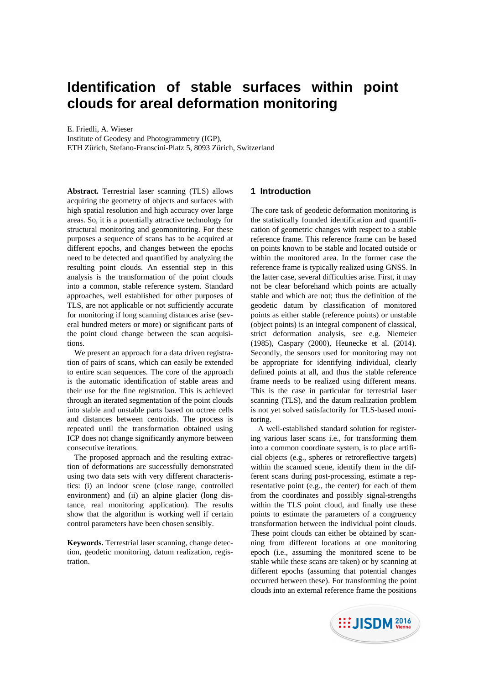# **Identification of stable surfaces within point clouds for areal deformation monitoring**

E. Friedli, A. Wieser

Institute of Geodesy and Photogrammetry (IGP), ETH Zürich, Stefano-Franscini-Platz 5, 8093 Zürich, Switzerland

**Abstract.** Terrestrial laser scanning (TLS) allows acquiring the geometry of objects and surfaces with high spatial resolution and high accuracy over large areas. So, it is a potentially attractive technology for structural monitoring and geomonitoring. For these purposes a sequence of scans has to be acquired at different epochs, and changes between the epochs need to be detected and quantified by analyzing the resulting point clouds. An essential step in this analysis is the transformation of the point clouds into a common, stable reference system. Standard approaches, well established for other purposes of TLS, are not applicable or not sufficiently accurate for monitoring if long scanning distances arise (several hundred meters or more) or significant parts of the point cloud change between the scan acquisitions.

We present an approach for a data driven registration of pairs of scans, which can easily be extended to entire scan sequences. The core of the approach is the automatic identification of stable areas and their use for the fine registration. This is achieved through an iterated segmentation of the point clouds into stable and unstable parts based on octree cells and distances between centroids. The process is repeated until the transformation obtained using ICP does not change significantly anymore between consecutive iterations.

The proposed approach and the resulting extraction of deformations are successfully demonstrated using two data sets with very different characteristics: (i) an indoor scene (close range, controlled environment) and (ii) an alpine glacier (long distance, real monitoring application). The results show that the algorithm is working well if certain control parameters have been chosen sensibly.

**Keywords.** Terrestrial laser scanning, change detection, geodetic monitoring, datum realization, registration.

# **1 Introduction**

The core task of geodetic deformation monitoring is the statistically founded identification and quantification of geometric changes with respect to a stable reference frame. This reference frame can be based on points known to be stable and located outside or within the monitored area. In the former case the reference frame is typically realized using GNSS. In the latter case, several difficulties arise. First, it may not be clear beforehand which points are actually stable and which are not; thus the definition of the geodetic datum by classification of monitored points as either stable (reference points) or unstable (object points) is an integral component of classical, strict deformation analysis, see e.g. Niemeier (1985), Caspary (2000), Heunecke et al. (2014). Secondly, the sensors used for monitoring may not be appropriate for identifying individual, clearly defined points at all, and thus the stable reference frame needs to be realized using different means. This is the case in particular for terrestrial laser scanning (TLS), and the datum realization problem is not yet solved satisfactorily for TLS-based monitoring.

A well-established standard solution for registering various laser scans i.e., for transforming them into a common coordinate system, is to place artificial objects (e.g., spheres or retroreflective targets) within the scanned scene, identify them in the different scans during post-processing, estimate a representative point (e.g., the center) for each of them from the coordinates and possibly signal-strengths within the TLS point cloud, and finally use these points to estimate the parameters of a congruency transformation between the individual point clouds. These point clouds can either be obtained by scanning from different locations at one monitoring epoch (i.e., assuming the monitored scene to be stable while these scans are taken) or by scanning at different epochs (assuming that potential changes occurred between these). For transforming the point clouds into an external reference frame the positions

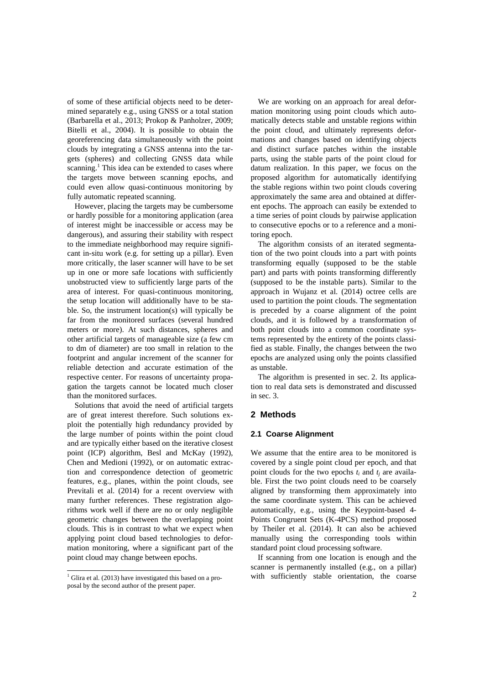of some of these artificial objects need to be determined separately e.g., using GNSS or a total station (Barbarella et al., 2013; Prokop & Panholzer, 2009; Bitelli et al., 2004). It is possible to obtain the georeferencing data simultaneously with the point clouds by integrating a GNSS antenna into the targets (spheres) and collecting GNSS data while scanning.<sup>1</sup> This idea can be extended to cases where the targets move between scanning epochs, and could even allow quasi-continuous monitoring by fully automatic repeated scanning.

However, placing the targets may be cumbersome or hardly possible for a monitoring application (area of interest might be inaccessible or access may be dangerous), and assuring their stability with respect to the immediate neighborhood may require significant in-situ work (e.g. for setting up a pillar). Even more critically, the laser scanner will have to be set up in one or more safe locations with sufficiently unobstructed view to sufficiently large parts of the area of interest. For quasi-continuous monitoring, the setup location will additionally have to be stable. So, the instrument location(s) will typically be far from the monitored surfaces (several hundred meters or more). At such distances, spheres and other artificial targets of manageable size (a few cm to dm of diameter) are too small in relation to the footprint and angular increment of the scanner for reliable detection and accurate estimation of the respective center. For reasons of uncertainty propagation the targets cannot be located much closer than the monitored surfaces.

Solutions that avoid the need of artificial targets are of great interest therefore. Such solutions exploit the potentially high redundancy provided by the large number of points within the point cloud and are typically either based on the iterative closest point (ICP) algorithm, Besl and McKay (1992), Chen and Medioni (1992), or on automatic extraction and correspondence detection of geometric features, e.g., planes, within the point clouds, see Previtali et al. (2014) for a recent overview with many further references. These registration algorithms work well if there are no or only negligible geometric changes between the overlapping point clouds. This is in contrast to what we expect when applying point cloud based technologies to deformation monitoring, where a significant part of the point cloud may change between epochs.

We are working on an approach for areal deformation monitoring using point clouds which automatically detects stable and unstable regions within the point cloud, and ultimately represents deformations and changes based on identifying objects and distinct surface patches within the instable parts, using the stable parts of the point cloud for datum realization. In this paper, we focus on the proposed algorithm for automatically identifying the stable regions within two point clouds covering approximately the same area and obtained at different epochs. The approach can easily be extended to a time series of point clouds by pairwise application to consecutive epochs or to a reference and a monitoring epoch.

The algorithm consists of an iterated segmentation of the two point clouds into a part with points transforming equally (supposed to be the stable part) and parts with points transforming differently (supposed to be the instable parts). Similar to the approach in Wujanz et al. (2014) octree cells are used to partition the point clouds. The segmentation is preceded by a coarse alignment of the point clouds, and it is followed by a transformation of both point clouds into a common coordinate systems represented by the entirety of the points classified as stable. Finally, the changes between the two epochs are analyzed using only the points classified as unstable.

The algorithm is presented in sec. 2. Its application to real data sets is demonstrated and discussed in sec. 3.

## **2 Methods**

#### **2.1 Coarse Alignment**

We assume that the entire area to be monitored is covered by a single point cloud per epoch, and that point clouds for the two epochs  $t_i$  and  $t_j$  are available. First the two point clouds need to be coarsely aligned by transforming them approximately into the same coordinate system. This can be achieved automatically, e.g., using the Keypoint-based 4- Points Congruent Sets (K-4PCS) method proposed by Theiler et al. (2014). It can also be achieved manually using the corresponding tools within standard point cloud processing software.

If scanning from one location is enough and the scanner is permanently installed (e.g., on a pillar) with sufficiently stable orientation, the coarse

 1 Glira et al. (2013) have investigated this based on a proposal by the second author of the present paper.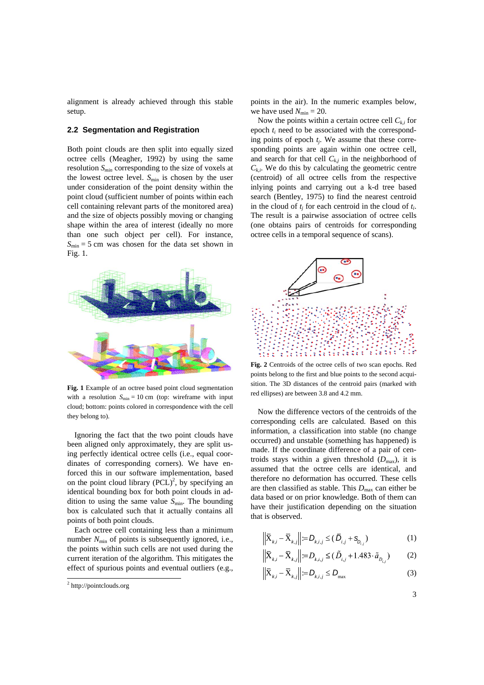alignment is already achieved through this stable setup.

## **2.2 Segmentation and Registration**

Both point clouds are then split into equally sized octree cells (Meagher, 1992) by using the same resolution *Smin* corresponding to the size of voxels at the lowest octree level.  $S_{\text{min}}$  is chosen by the user under consideration of the point density within the point cloud (sufficient number of points within each cell containing relevant parts of the monitored area) and the size of objects possibly moving or changing shape within the area of interest (ideally no more than one such object per cell). For instance,  $S_{\text{min}} = 5$  cm was chosen for the data set shown in Fig. 1.



**Fig. 1** Example of an octree based point cloud segmentation with a resolution  $S_{\text{min}} = 10 \text{ cm}$  (top: wireframe with input cloud; bottom: points colored in correspondence with the cell they belong to).

Ignoring the fact that the two point clouds have been aligned only approximately, they are split using perfectly identical octree cells (i.e., equal coordinates of corresponding corners). We have enforced this in our software implementation, based on the point cloud library  $(PCL)^2$ , by specifying an identical bounding box for both point clouds in addition to using the same value *S*<sub>min</sub>. The bounding box is calculated such that it actually contains all points of both point clouds.

Each octree cell containing less than a minimum number  $N_{\text{min}}$  of points is subsequently ignored, i.e., the points within such cells are not used during the current iteration of the algorithm. This mitigates the effect of spurious points and eventual outliers (e.g.,

.

points in the air). In the numeric examples below, we have used  $N_{\text{min}} = 20$ .

Now the points within a certain octree cell  $C_{ki}$  for epoch *ti* need to be associated with the corresponding points of epoch *tj*. We assume that these corresponding points are again within one octree cell, and search for that cell  $C_{k,j}$  in the neighborhood of  $C_{ki}$ . We do this by calculating the geometric centre (centroid) of all octree cells from the respective inlying points and carrying out a k-d tree based search (Bentley, 1975) to find the nearest centroid in the cloud of  $t_i$  for each centroid in the cloud of  $t_i$ . The result is a pairwise association of octree cells (one obtains pairs of centroids for corresponding octree cells in a temporal sequence of scans).



**Fig. 2** Centroids of the octree cells of two scan epochs. Red points belong to the first and blue points to the second acquisition. The 3D distances of the centroid pairs (marked with red ellipses) are between 3.8 and 4.2 mm.

Now the difference vectors of the centroids of the corresponding cells are calculated. Based on this information, a classification into stable (no change occurred) and unstable (something has happened) is made. If the coordinate difference of a pair of centroids stays within a given threshold  $(D_{\text{max}})$ , it is assumed that the octree cells are identical, and therefore no deformation has occurred. These cells are then classified as stable. This  $D_{\text{max}}$  can either be data based or on prior knowledge. Both of them can have their justification depending on the situation that is observed.

$$
\left\| \overline{X}_{k,i} - \overline{X}_{k,j} \right\| = D_{k,i,j} \leq (\overline{D}_{i,j} + S_{D_{i,j}})
$$
 (1)

$$
\left\| \overline{X}_{k,i} - \overline{X}_{k,j} \right\| = D_{k,i,j} \le (\tilde{D}_{i,j} + 1.483 \cdot \tilde{a}_{D_{i,j}}) \tag{2}
$$

$$
\left\| \overline{\mathbf{X}}_{k,i} - \overline{\mathbf{X}}_{k,j} \right\| := D_{k,i,j} \le D_{\max} \tag{3}
$$

3

<sup>&</sup>lt;sup>2</sup> http://pointclouds.org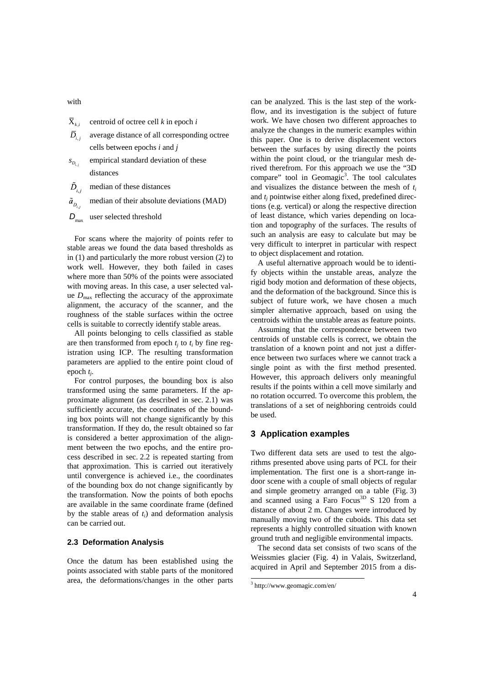- with
- $\overline{X}_{i,j}$  centroid of octree cell *k* in epoch *i*
- $\overline{D}_{ij}$  average distance of all corresponding octree cells between epochs *i* and *j*
- $s_{D_{i,i}}$  empirical standard deviation of these distances
- $\tilde{D}_{i,i}$  median of these distances
- $\tilde{a}_n$  median of their absolute deviations (MAD)
- *D*<sub>max</sub> user selected threshold

For scans where the majority of points refer to stable areas we found the data based thresholds as in (1) and particularly the more robust version (2) to work well. However, they both failed in cases where more than 50% of the points were associated with moving areas. In this case, a user selected value  $D_{\text{max}}$  reflecting the accuracy of the approximate alignment, the accuracy of the scanner, and the roughness of the stable surfaces within the octree cells is suitable to correctly identify stable areas.

All points belonging to cells classified as stable are then transformed from epoch  $t_i$  to  $t_i$  by fine registration using ICP. The resulting transformation parameters are applied to the entire point cloud of epoch *tj*.

For control purposes, the bounding box is also transformed using the same parameters. If the approximate alignment (as described in sec. 2.1) was sufficiently accurate, the coordinates of the bounding box points will not change significantly by this transformation. If they do, the result obtained so far is considered a better approximation of the alignment between the two epochs, and the entire process described in sec. 2.2 is repeated starting from that approximation. This is carried out iteratively until convergence is achieved i.e., the coordinates of the bounding box do not change significantly by the transformation. Now the points of both epochs are available in the same coordinate frame (defined by the stable areas of *ti*) and deformation analysis can be carried out.

## **2.3 Deformation Analysis**

Once the datum has been established using the points associated with stable parts of the monitored area, the deformations/changes in the other parts

can be analyzed. This is the last step of the workflow, and its investigation is the subject of future work. We have chosen two different approaches to analyze the changes in the numeric examples within this paper. One is to derive displacement vectors between the surfaces by using directly the points within the point cloud, or the triangular mesh derived therefrom. For this approach we use the "3D compare" tool in Geomagic<sup>3</sup>. The tool calculates and visualizes the distance between the mesh of *ti* and  $t_i$  pointwise either along fixed, predefined directions (e.g. vertical) or along the respective direction of least distance, which varies depending on location and topography of the surfaces. The results of such an analysis are easy to calculate but may be very difficult to interpret in particular with respect to object displacement and rotation.

A useful alternative approach would be to identify objects within the unstable areas, analyze the rigid body motion and deformation of these objects, and the deformation of the background. Since this is subject of future work, we have chosen a much simpler alternative approach, based on using the centroids within the unstable areas as feature points.

Assuming that the correspondence between two centroids of unstable cells is correct, we obtain the translation of a known point and not just a difference between two surfaces where we cannot track a single point as with the first method presented. However, this approach delivers only meaningful results if the points within a cell move similarly and no rotation occurred. To overcome this problem, the translations of a set of neighboring centroids could be used.

## **3 Application examples**

Two different data sets are used to test the algorithms presented above using parts of PCL for their implementation. The first one is a short-range indoor scene with a couple of small objects of regular and simple geometry arranged on a table (Fig. 3) and scanned using a Faro Focus<sup>3D</sup> S 120 from a distance of about 2 m. Changes were introduced by manually moving two of the cuboids. This data set represents a highly controlled situation with known ground truth and negligible environmental impacts.

The second data set consists of two scans of the Weissmies glacier (Fig. 4) in Valais, Switzerland, acquired in April and September 2015 from a dis-

1

<sup>3</sup> http://www.geomagic.com/en/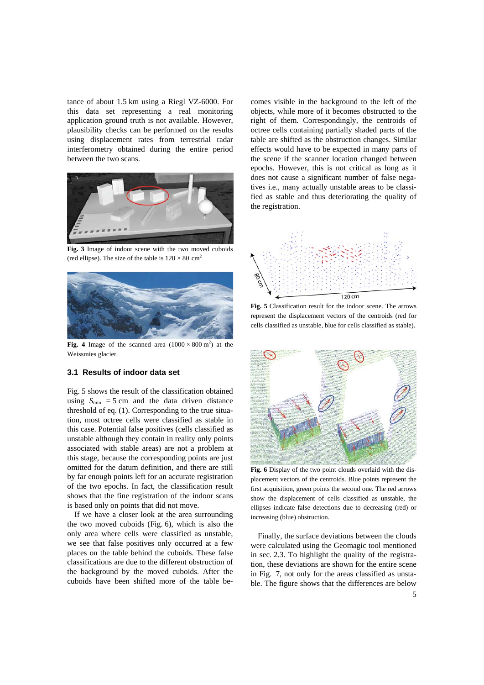tance of about 1.5 km using a Riegl VZ-6000. For this data set representing a real monitoring application ground truth is not available. However, plausibility checks can be performed on the results using displacement rates from terrestrial radar interferometry obtained during the entire period between the two scans.



**Fig. 3** Image of indoor scene with the two moved cuboids (red ellipse). The size of the table is  $120 \times 80$  cm<sup>2</sup>



Fig. 4 Image of the scanned area  $(1000 \times 800 \text{ m}^2)$  at the Weissmies glacier.

## **3.1 Results of indoor data set**

Fig. 5 shows the result of the classification obtained using  $S_{\text{min}} = 5$  cm and the data driven distance threshold of eq. (1). Corresponding to the true situation, most octree cells were classified as stable in this case. Potential false positives (cells classified as unstable although they contain in reality only points associated with stable areas) are not a problem at this stage, because the corresponding points are just omitted for the datum definition, and there are still by far enough points left for an accurate registration of the two epochs. In fact, the classification result shows that the fine registration of the indoor scans is based only on points that did not move.

If we have a closer look at the area surrounding the two moved cuboids (Fig. 6), which is also the only area where cells were classified as unstable, we see that false positives only occurred at a few places on the table behind the cuboids. These false classifications are due to the different obstruction of the background by the moved cuboids. After the cuboids have been shifted more of the table becomes visible in the background to the left of the objects, while more of it becomes obstructed to the right of them. Correspondingly, the centroids of octree cells containing partially shaded parts of the table are shifted as the obstruction changes. Similar effects would have to be expected in many parts of the scene if the scanner location changed between epochs. However, this is not critical as long as it does not cause a significant number of false negatives i.e., many actually unstable areas to be classified as stable and thus deteriorating the quality of the registration.



**Fig. 5** Classification result for the indoor scene. The arrows represent the displacement vectors of the centroids (red for cells classified as unstable, blue for cells classified as stable).



**Fig. 6** Display of the two point clouds overlaid with the displacement vectors of the centroids. Blue points represent the first acquisition, green points the second one. The red arrows show the displacement of cells classified as unstable, the ellipses indicate false detections due to decreasing (red) or increasing (blue) obstruction.

Finally, the surface deviations between the clouds were calculated using the Geomagic tool mentioned in sec. 2.3. To highlight the quality of the registration, these deviations are shown for the entire scene in Fig. 7, not only for the areas classified as unstable. The figure shows that the differences are below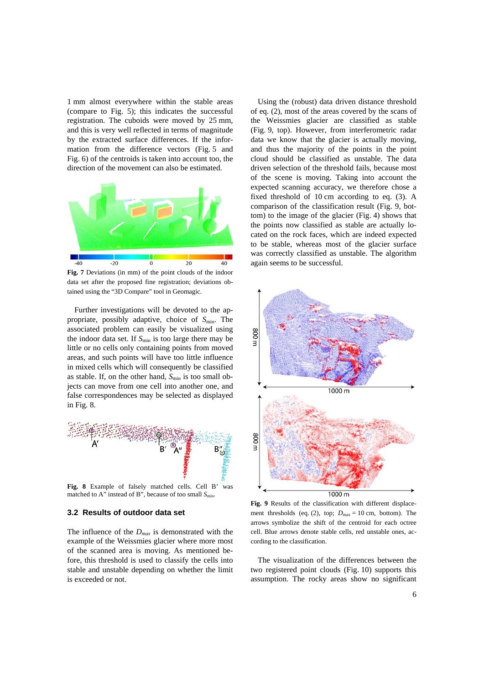1 mm almost everywhere within the stable areas (compare to Fig. 5); this indicates the successful registration. The cuboids were moved by 25 mm, and this is very well reflected in terms of magnitude by the extracted surface differences. If the information from the difference vectors (Fig. 5 and Fig. 6) of the centroids is taken into account too, the direction of the movement can also be estimated.



**Fig. 7** Deviations (in mm) of the point clouds of the indoor data set after the proposed fine registration; deviations obtained using the "3D Compare" tool in Geomagic.

Further investigations will be devoted to the appropriate, possibly adaptive, choice of  $S_{\text{min}}$ . The associated problem can easily be visualized using the indoor data set. If  $S_{\text{min}}$  is too large there may be little or no cells only containing points from moved areas, and such points will have too little influence in mixed cells which will consequently be classified as stable. If, on the other hand,  $S_{\text{min}}$  is too small objects can move from one cell into another one, and false correspondences may be selected as displayed in Fig. 8.



matched to A" instead of B", because of too small  $S_{\text{min}}$ .

## **3.2 Results of outdoor data set**

The influence of the *Dmax* is demonstrated with the example of the Weissmies glacier where more most of the scanned area is moving. As mentioned before, this threshold is used to classify the cells into stable and unstable depending on whether the limit is exceeded or not.

Using the (robust) data driven distance threshold of eq. (2), most of the areas covered by the scans of the Weissmies glacier are classified as stable (Fig. 9, top). However, from interferometric radar data we know that the glacier is actually moving, and thus the majority of the points in the point cloud should be classified as unstable. The data driven selection of the threshold fails, because most of the scene is moving. Taking into account the expected scanning accuracy, we therefore chose a fixed threshold of 10 cm according to eq. (3). A comparison of the classification result (Fig. 9, bottom) to the image of the glacier (Fig. 4) shows that the points now classified as stable are actually located on the rock faces, which are indeed expected to be stable, whereas most of the glacier surface was correctly classified as unstable. The algorithm again seems to be successful.



**Fig. 9** Results of the classification with different displacement thresholds (eq. (2), top;  $D_{\text{max}} = 10 \text{ cm}$ , bottom). The arrows symbolize the shift of the centroid for each octree cell. Blue arrows denote stable cells, red unstable ones, according to the classification.

The visualization of the differences between the two registered point clouds (Fig. 10) supports this assumption. The rocky areas show no significant